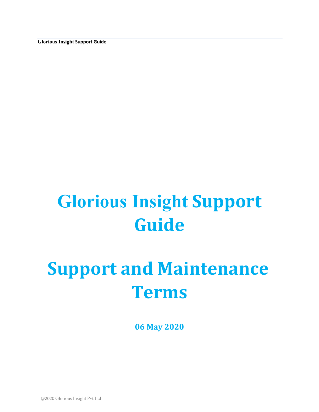**Glorious Insight Support Guide**

# **Glorious Insight Support Guide**

# **Support and Maintenance Terms**

**06 May 2020** 

@2020 Glorious Insight Pvt Ltd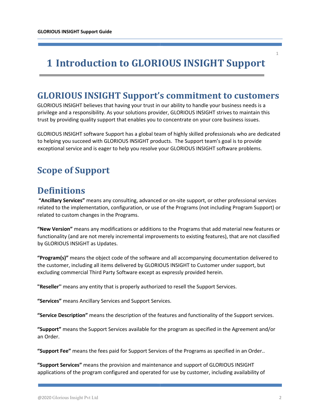# **1 Introduction to GLORIOUS INSIGHT Support**

# **GLORIOUS INSIGHT Support's commitment to customers**

GLORIOUS INSIGHT believes that having your trust in our ability to handle your business needs is a privilege and a responsibility. As your solutions provider, GLORIOUS INSIGHT strives to maintain this trust by providing quality support that enables you to concentrate on your core business issues.

GLORIOUS INSIGHT software Support has a global team of highly skilled professionals who are dedicated to helping you succeed with GLORIOUS INSIGHT products. The Support team's goal is to provide exceptional service and is eager to help you resolve your GLORIOUS INSIGHT software problems.

# **Scope of Support**

#### **Definitions**

**"Ancillary Services"** means any consulting, advanced or on-site support, or other professional services related to the implementation, configuration, or use of the Programs (not including Program Support) or related to custom changes in the Programs.

**"New Version"** means any modifications or additions to the Programs that add material new features or functionality (and are not merely incremental improvements to existing features), that are not classified by GLORIOUS INSIGHT as Updates.

**"Program(s)"** means the object code of the software and all accompanying documentation delivered to the customer, including all items delivered by GLORIOUS INSIGHT to Customer under support, but excluding commercial Third Party Software except as expressly provided herein.

**"Reseller''** means any entity that is properly authorized to resell the Support Services.

**"Services"** means Ancillary Services and Support Services.

**"Service Description"** means the description of the features and functionality of the Support services.

**"Support"** means the Support Services available for the program as specified in the Agreement and/or an Order.

**"Support Fee"** means the fees paid for Support Services of the Programs as specified in an Order..

**"Support Services"** means the provision and maintenance and support of GLORIOUS INSIGHT applications of the program configured and operated for use by customer, including availability of 1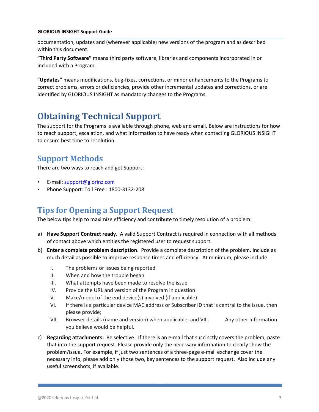#### **GLORIOUS INSIGHT Support Guide**

documentation, updates and (wherever applicable) new versions of the program and as described within this document.

**"Third Party Software"** means third party software, libraries and components incorporated in or included with a Program.

**"Updates"** means modifications, bug-fixes, corrections, or minor enhancements to the Programs to correct problems, errors or deficiencies, provide other incremental updates and corrections, or are identified by GLORIOUS INSIGHT as mandatory changes to the Programs.

# **Obtaining Technical Support**

The support for the Programs is available through phone, web and email. Below are instructions for how to reach support, escalation, and what information to have ready when contacting GLORIOUS INSIGHT to ensure best time to resolution.

#### **Support Methods**

There are two ways to reach and get Support:

- E-mail: support@glorinz.com
- Phone Support: Toll Free : 1800-3132-208

#### **Tips for Opening a Support Request**

The below tips help to maximize efficiency and contribute to timely resolution of a problem:

- a) **Have Support Contract ready**. A valid Support Contract is required in connection with all methods of contact above which entitles the registered user to request support.
- b) **Enter a complete problem description**. Provide a complete description of the problem. Include as much detail as possible to improve response times and efficiency. At minimum, please include:
	- I. The problems or issues being reported
	- II. When and how the trouble began
	- III. What attempts have been made to resolve the issue
	- IV. Provide the URL and version of the Program in question
	- V. Make/model of the end device(s) involved (if applicable)
	- VI. If there is a particular device MAC address or Subscriber ID that is central to the issue, then please provide;
	- VII. Browser details (name and version) when applicable; and VIII. Any other information you believe would be helpful.
- c) **Regarding attachments:** Be selective. If there is an e-mail that succinctly covers the problem, paste that into the support request. Please provide only the necessary information to clearly show the problem/issue. For example, if just two sentences of a three-page e-mail exchange cover the necessary info, please add only those two, key sentences to the support request. Also include any useful screenshots, if available.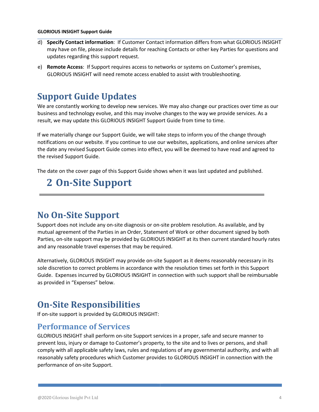#### **GLORIOUS INSIGHT Support Guide**

- d) **Specify Contact information**: If Customer Contact information differs from what GLORIOUS INSIGHT may have on file, please include details for reaching Contacts or other key Parties for questions and updates regarding this support request.
- e) **Remote Access**: If Support requires access to networks or systems on Customer's premises, GLORIOUS INSIGHT will need remote access enabled to assist with troubleshooting.

### **Support Guide Updates**

We are constantly working to develop new services. We may also change our practices over time as our business and technology evolve, and this may involve changes to the way we provide services. As a result, we may update this GLORIOUS INSIGHT Support Guide from time to time.

If we materially change our Support Guide, we will take steps to inform you of the change through notifications on our website. If you continue to use our websites, applications, and online services after the date any revised Support Guide comes into effect, you will be deemed to have read and agreed to the revised Support Guide.

The date on the cover page of this Support Guide shows when it was last updated and published.

# **2 On-Site Support**

#### **No On-Site Support**

Support does not include any on-site diagnosis or on-site problem resolution. As available, and by mutual agreement of the Parties in an Order, Statement of Work or other document signed by both Parties, on-site support may be provided by GLORIOUS INSIGHT at its then current standard hourly rates and any reasonable travel expenses that may be required.

Alternatively, GLORIOUS INSIGHT may provide on-site Support as it deems reasonably necessary in its sole discretion to correct problems in accordance with the resolution times set forth in this Support Guide. Expenses incurred by GLORIOUS INSIGHT in connection with such support shall be reimbursable as provided in "Expenses" below.

## **On-Site Responsibilities**

If on-site support is provided by GLORIOUS INSIGHT:

#### **Performance of Services**

GLORIOUS INSIGHT shall perform on-site Support services in a proper, safe and secure manner to prevent loss, injury or damage to Customer's property, to the site and to lives or persons, and shall comply with all applicable safety laws, rules and regulations of any governmental authority, and with all reasonably safety procedures which Customer provides to GLORIOUS INSIGHT in connection with the performance of on-site Support.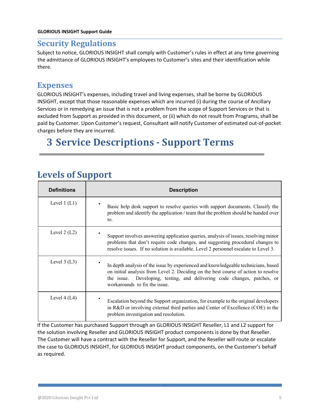#### **GLORIOUS INSIGHT Support Guide**

#### **Security Regulations**

Subject to notice, GLORIOUS INSIGHT shall comply with Customer's rules in effect at any time governing the admittance of GLORIOUS INSIGHT's employees to Customer's sites and their identification while there.

#### **Expenses**

GLORIOUS INSIGHT's expenses, including travel and living expenses, shall be borne by GLORIOUS INSIGHT, except that those reasonable expenses which are incurred (i) during the course of Ancillary Services or in remedying an issue that is not a problem from the scope of Support Services or that is excluded from Support as provided in this document, or (ii) which do not result from Programs, shall be paid by Customer. Upon Customer's request, Consultant will notify Customer of estimated out-of-pocket charges before they are incurred.

# **3 Service Descriptions - Support Terms**

# Levels of **Support**

| <b>Definitions</b> | <b>Description</b>                                                                                                                                                                                                                                                                       |  |  |
|--------------------|------------------------------------------------------------------------------------------------------------------------------------------------------------------------------------------------------------------------------------------------------------------------------------------|--|--|
| Level $1(L1)$      | Basic help desk support to resolve queries with support documents. Classify the<br>problem and identify the application / team that the problem should be handed over<br>to.                                                                                                             |  |  |
| Level $2(L2)$      | Support involves answering application queries, analysis of issues, resolving minor<br>problems that don't require code changes, and suggesting procedural changes to<br>resolve issues. If no solution is available, Level 2 personnel escalate to Level 3.                             |  |  |
| Level $3(L3)$      | In depth analysis of the issue by experienced and knowledgeable technicians, based<br>on initial analysis from Level 2. Deciding on the best course of action to resolve<br>Developing, testing, and delivering code changes, patches, or<br>the issue.<br>workarounds to fix the issue. |  |  |
| Level $4(L4)$      | Escalation beyond the Support organization, for example to the original developers<br>in R&D or involving external third parties and Center of Excellence (COE) in the<br>problem investigation and resolution.                                                                          |  |  |

If the Customer has purchased Support through an GLORIOUS INSIGHT Reseller, L1 and L2 support for the solution involving Reseller and GLORIOUS INSIGHT product components is done by that Reseller. The Customer will have a contract with the Reseller for Support, and the Reseller will route or escalate the case to GLORIOUS INSIGHT, for GLORIOUS INSIGHT product components, on the Customer's behalf as required.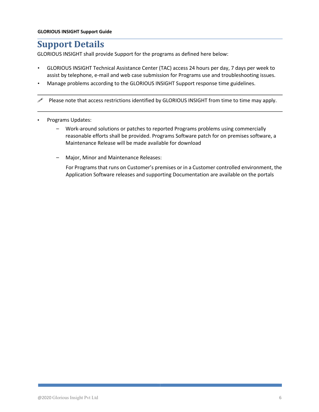# **Support Details**

GLORIOUS INSIGHT shall provide Support for the programs as defined here below:

- GLORIOUS INSIGHT Technical Assistance Center (TAC) access 24 hours per day, 7 days per week to assist by telephone, e-mail and web case submission for Programs use and troubleshooting issues.
- Manage problems according to the GLORIOUS INSIGHT Support response time guidelines.

 $\mathscr P$  Please note that access restrictions identified by GLORIOUS INSIGHT from time to time may apply.

- Programs Updates:
	- Work-around solutions or patches to reported Programs problems using commercially reasonable efforts shall be provided. Programs Software patch for on premises software, a Maintenance Release will be made available for download
	- Major, Minor and Maintenance Releases:

For Programs that runs on Customer's premises or in a Customer controlled environment, the Application Software releases and supporting Documentation are available on the portals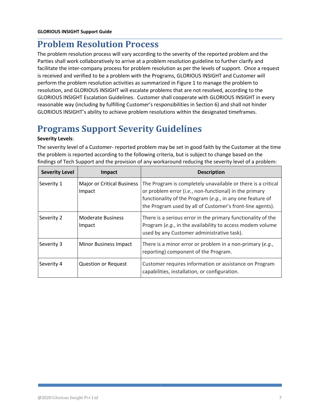## **Problem Resolution Process**

The problem resolution process will vary according to the severity of the reported problem and the Parties shall work collaboratively to arrive at a problem resolution guideline to further clarify and facilitate the inter-company process for problem resolution as per the levels of support. Once a request is received and verified to be a problem with the Programs, GLORIOUS INSIGHT and Customer will perform the problem resolution activities as summarized in Figure 1 to manage the problem to resolution, and GLORIOUS INSIGHT will escalate problems that are not resolved, according to the GLORIOUS INSIGHT Escalation Guidelines. Customer shall cooperate with GLORIOUS INSIGHT in every reasonable way (including by fulfilling Customer's responsibilities in Section 6) and shall not hinder GLORIOUS INSIGHT's ability to achieve problem resolutions within the designated timeframes.

# **Programs Support Severity Guidelines**

#### **Severity Levels**:

The severity level of a Customer- reported problem may be set in good faith by the Customer at the time the problem is reported according to the following criteria, but is subject to change based on the findings of Tech Support and the provision of any workaround reducing the severity level of a problem:

| <b>Severity Level</b> | Impact                                      | <b>Description</b>                                                                                                                                                                                                                               |  |
|-----------------------|---------------------------------------------|--------------------------------------------------------------------------------------------------------------------------------------------------------------------------------------------------------------------------------------------------|--|
| Severity 1            | <b>Major or Critical Business</b><br>Impact | The Program is completely unavailable or there is a critical<br>or problem error (i.e., non-functional) in the primary<br>functionality of the Program (e.g., in any one feature of<br>the Program used by all of Customer's front-line agents). |  |
| Severity 2            | <b>Moderate Business</b><br>Impact          | There is a serious error in the primary functionality of the<br>Program (e.g., in the availability to access modem volume<br>used by any Customer administrative task).                                                                          |  |
| Severity 3            | <b>Minor Business Impact</b>                | There is a minor error or problem in a non-primary (e.g.,<br>reporting) component of the Program.                                                                                                                                                |  |
| Severity 4            | <b>Question or Request</b>                  | Customer requires information or assistance on Program<br>capabilities, installation, or configuration.                                                                                                                                          |  |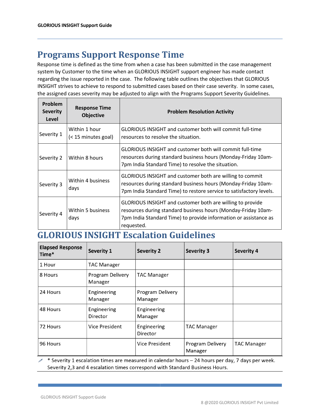# **Programs Support Response Time**

Response time is defined as the time from when a case has been submitted in the case management system by Customer to the time when an GLORIOUS INSIGHT support engineer has made contact regarding the issue reported in the case. The following table outlines the objectives that GLORIOUS INSIGHT strives to achieve to respond to submitted cases based on their case severity. In some cases, the assigned cases severity may be adjusted to align with the Programs Support Severity Guidelines.

| Problem<br><b>Severity</b><br>Level | <b>Response Time</b><br><b>Objective</b> | <b>Problem Resolution Activity</b>                                                                                                                                                                           |  |  |
|-------------------------------------|------------------------------------------|--------------------------------------------------------------------------------------------------------------------------------------------------------------------------------------------------------------|--|--|
| Severity 1                          | Within 1 hour<br>(< 15 minutes goal)     | GLORIOUS INSIGHT and customer both will commit full-time<br>resources to resolve the situation.                                                                                                              |  |  |
| Severity 2                          | Within 8 hours                           | GLORIOUS INSIGHT and customer both will commit full-time<br>resources during standard business hours (Monday-Friday 10am-<br>7pm India Standard Time) to resolve the situation.                              |  |  |
| Severity 3                          | Within 4 business<br>days                | GLORIOUS INSIGHT and customer both are willing to commit<br>resources during standard business hours (Monday-Friday 10am-<br>7pm India Standard Time) to restore service to satisfactory levels.             |  |  |
| Severity 4                          | Within 5 business<br>days                | GLORIOUS INSIGHT and customer both are willing to provide<br>resources during standard business hours (Monday-Friday 10am-<br>7pm India Standard Time) to provide information or assistance as<br>requested. |  |  |

#### **GLORIOUS INSIGHT Escalation Guidelines**

| <b>Elapsed Response</b><br>Time* | Severity 1                         | <b>Severity 2</b>           | <b>Severity 3</b>           | <b>Severity 4</b>  |
|----------------------------------|------------------------------------|-----------------------------|-----------------------------|--------------------|
| 1 Hour                           | <b>TAC Manager</b>                 |                             |                             |                    |
| 8 Hours                          | <b>Program Delivery</b><br>Manager | <b>TAC Manager</b>          |                             |                    |
| 24 Hours                         | Engineering<br>Manager             | Program Delivery<br>Manager |                             |                    |
| 48 Hours                         | Engineering<br>Director            | Engineering<br>Manager      |                             |                    |
| 72 Hours                         | Vice President                     | Engineering<br>Director     | <b>TAC Manager</b>          |                    |
| 96 Hours                         |                                    | Vice President              | Program Delivery<br>Manager | <b>TAC Manager</b> |

\* Severity 1 escalation times are measured in calendar hours - 24 hours per day, 7 days per week. Severity 2,3 and 4 escalation times correspond with Standard Business Hours.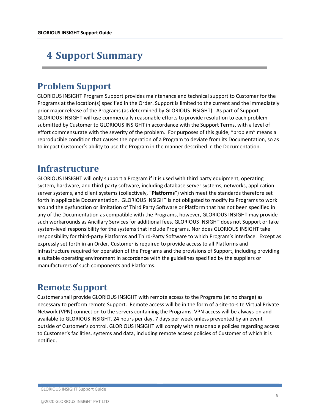# **4 Support Summary**

# **Problem Support**

GLORIOUS INSIGHT Program Support provides maintenance and technical support to Customer for the Programs at the location(s) specified in the Order. Support is limited to the current and the immediately prior major release of the Programs (as determined by GLORIOUS INSIGHT). As part of Support GLORIOUS INSIGHT will use commercially reasonable efforts to provide resolution to each problem submitted by Customer to GLORIOUS INSIGHT in accordance with the Support Terms, with a level of effort commensurate with the severity of the problem. For purposes of this guide, "problem" means a reproducible condition that causes the operation of a Program to deviate from its Documentation, so as to impact Customer's ability to use the Program in the manner described in the Documentation.

#### **Infrastructure**

GLORIOUS INSIGHT will only support a Program if it is used with third party equipment, operating system, hardware, and third-party software, including database server systems, networks, application server systems, and client systems (collectively, "**Platforms**") which meet the standards therefore set forth in applicable Documentation. GLORIOUS INSIGHT is not obligated to modify its Programs to work around the dysfunction or limitation of Third Party Software or Platform that has not been specified in any of the Documentation as compatible with the Programs, however, GLORIOUS INSIGHT may provide such workarounds as Ancillary Services for additional fees. GLORIOUS INSIGHT does not Support or take system-level responsibility for the systems that include Programs. Nor does GLORIOUS INSIGHT take responsibility for third-party Platforms and Third-Party Software to which Program's interface. Except as expressly set forth in an Order, Customer is required to provide access to all Platforms and infrastructure required for operation of the Programs and the provisions of Support, including providing a suitable operating environment in accordance with the guidelines specified by the suppliers or manufacturers of such components and Platforms.

# **Remote Support**

Customer shall provide GLORIOUS INSIGHT with remote access to the Programs (at no charge) as necessary to perform remote Support. Remote access will be in the form of a site-to-site Virtual Private Network (VPN) connection to the servers containing the Programs. VPN access will be always-on and available to GLORIOUS INSIGHT, 24 hours per day, 7 days per week unless prevented by an event outside of Customer's control. GLORIOUS INSIGHT will comply with reasonable policies regarding access to Customer's facilities, systems and data, including remote access policies of Customer of which it is notified.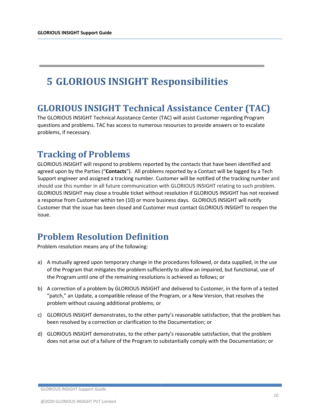# **5 GLORIOUS INSIGHT Responsibilities**

## **GLORIOUS INSIGHT Technical Assistance Center (TAC)**

The GLORIOUS INSIGHT Technical Assistance Center (TAC) will assist Customer regarding Program questions and problems. TAC has access to numerous resources to provide answers or to escalate problems, if necessary.

## **Tracking of Problems**

GLORIOUS INSIGHT will respond to problems reported by the contacts that have been identified and agreed upon by the Parties ("**Contacts**"). All problems reported by a Contact will be logged by a Tech Support engineer and assigned a tracking number. Customer will be notified of the tracking number and should use this number in all future communication with GLORIOUS INSIGHT relating to such problem. GLORIOUS INSIGHT may close a trouble ticket without resolution if GLORIOUS INSIGHT has not received a response from Customer within ten (10) or more business days. GLORIOUS INSIGHT will notify Customer that the issue has been closed and Customer must contact GLORIOUS INSIGHT to reopen the issue.

# **Problem Resolution Definition**

Problem resolution means any of the following:

- a) A mutually agreed upon temporary change in the procedures followed, or data supplied, in the use of the Program that mitigates the problem sufficiently to allow an impaired, but functional, use of the Program until one of the remaining resolutions is achieved as follows; or
- b) A correction of a problem by GLORIOUS INSIGHT and delivered to Customer, in the form of a tested "patch," an Update, a compatible release of the Program, or a New Version, that resolves the problem without causing additional problems; or
- c) GLORIOUS INSIGHT demonstrates, to the other party's reasonable satisfaction, that the problem has been resolved by a correction or clarification to the Documentation; or
- d) GLORIOUS INSIGHT demonstrates, to the other party's reasonable satisfaction, that the problem does not arise out of a failure of the Program to substantially comply with the Documentation; or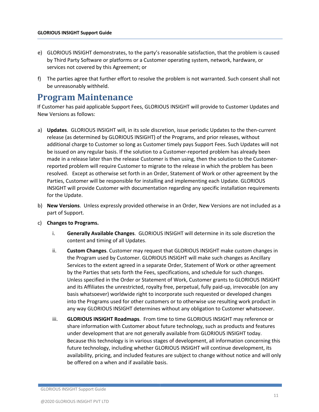- e) GLORIOUS INSIGHT demonstrates, to the party's reasonable satisfaction, that the problem is caused by Third Party Software or platforms or a Customer operating system, network, hardware, or services not covered by this Agreement; or
- f) The parties agree that further effort to resolve the problem is not warranted. Such consent shall not be unreasonably withheld.

### **Program Maintenance**

If Customer has paid applicable Support Fees, GLORIOUS INSIGHT will provide to Customer Updates and New Versions as follows:

- a) **Updates**. GLORIOUS INSIGHT will, in its sole discretion, issue periodic Updates to the then-current release (as determined by GLORIOUS INSIGHT) of the Programs, and prior releases, without additional charge to Customer so long as Customer timely pays Support Fees. Such Updates will not be issued on any regular basis. If the solution to a Customer-reported problem has already been made in a release later than the release Customer is then using, then the solution to the Customerreported problem will require Customer to migrate to the release in which the problem has been resolved. Except as otherwise set forth in an Order, Statement of Work or other agreement by the Parties, Customer will be responsible for installing and implementing each Update. GLORIOUS INSIGHT will provide Customer with documentation regarding any specific installation requirements for the Update.
- b) **New Versions**. Unless expressly provided otherwise in an Order, New Versions are not included as a part of Support.
- c) **Changes to Programs.**
	- i. **Generally Available Changes**. GLORIOUS INSIGHT will determine in its sole discretion the content and timing of all Updates.
	- ii. **Custom Changes**. Customer may request that GLORIOUS INSIGHT make custom changes in the Program used by Customer. GLORIOUS INSIGHT will make such changes as Ancillary Services to the extent agreed in a separate Order, Statement of Work or other agreement by the Parties that sets forth the Fees, specifications, and schedule for such changes. Unless specified in the Order or Statement of Work, Customer grants to GLORIOUS INSIGHT and its Affiliates the unrestricted, royalty free, perpetual, fully paid-up, irrevocable (on any basis whatsoever) worldwide right to incorporate such requested or developed changes into the Programs used for other customers or to otherwise use resulting work product in any way GLORIOUS INSIGHT determines without any obligation to Customer whatsoever.
	- iii. **GLORIOUS INSIGHT Roadmaps**. From time to time GLORIOUS INSIGHT may reference or share information with Customer about future technology, such as products and features under development that are not generally available from GLORIOUS INSIGHT today. Because this technology is in various stages of development, all information concerning this future technology, including whether GLORIOUS INSIGHT will continue development, its availability, pricing, and included features are subject to change without notice and will only be offered on a when and if available basis.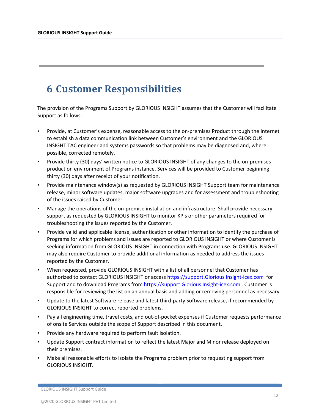# **6 Customer Responsibilities**

The provision of the Programs Support by GLORIOUS INSIGHT assumes that the Customer will facilitate Support as follows:

- Provide, at Customer's expense, reasonable access to the on-premises Product through the Internet to establish a data communication link between Customer's environment and the GLORIOUS INSIGHT TAC engineer and systems passwords so that problems may be diagnosed and, where possible, corrected remotely.
- Provide thirty (30) days' written notice to GLORIOUS INSIGHT of any changes to the on-premises production environment of Programs instance. Services will be provided to Customer beginning thirty (30) days after receipt of your notification.
- Provide maintenance window(s) as requested by GLORIOUS INSIGHT Support team for maintenance release, minor software updates, major software upgrades and for assessment and troubleshooting of the issues raised by Customer.
- Manage the operations of the on-premise installation and infrastructure. Shall provide necessary support as requested by GLORIOUS INSIGHT to monitor KPIs or other parameters required for troubleshooting the issues reported by the Customer.
- Provide valid and applicable license, authentication or other information to identify the purchase of Programs for which problems and issues are reported to GLORIOUS INSIGHT or where Customer is seeking information from GLORIOUS INSIGHT in connection with Programs use. GLORIOUS INSIGHT may also require Customer to provide additional information as needed to address the issues reported by the Customer.
- When requested, provide GLORIOUS INSIGHT with a list of all personnel that Customer has authorized to contact GLORIOUS INSIGHT or access https://support.Glorious Insight-icex.com for Support and to download Programs from https://support.Glorious Insight-icex.com . Customer is responsible for reviewing the list on an annual basis and adding or removing personnel as necessary.
- Update to the latest Software release and latest third-party Software release, if recommended by GLORIOUS INSIGHT to correct reported problems.
- Pay all engineering time, travel costs, and out-of-pocket expenses if Customer requests performance of onsite Services outside the scope of Support described in this document.
- Provide any hardware required to perform fault isolation.
- Update Support contract information to reflect the latest Major and Minor release deployed on their premises.
- Make all reasonable efforts to isolate the Programs problem prior to requesting support from GLORIOUS INSIGHT.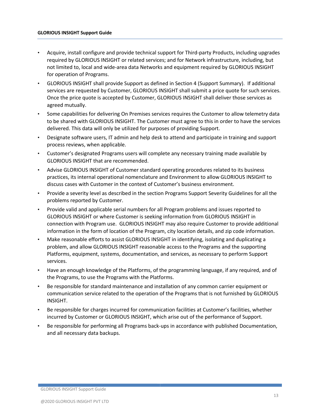- Acquire, install configure and provide technical support for Third-party Products, including upgrades required by GLORIOUS INSIGHT or related services; and for Network infrastructure, including, but not limited to, local and wide-area data Networks and equipment required by GLORIOUS INSIGHT for operation of Programs.
- GLORIOUS INSIGHT shall provide Support as defined in Section 4 (Support Summary). If additional services are requested by Customer, GLORIOUS INSIGHT shall submit a price quote for such services. Once the price quote is accepted by Customer, GLORIOUS INSIGHT shall deliver those services as agreed mutually.
- Some capabilities for delivering On Premises services requires the Customer to allow telemetry data to be shared with GLORIOUS INSIGHT. The Customer must agree to this in order to have the services delivered. This data will only be utilized for purposes of providing Support.
- Designate software users, IT admin and help desk to attend and participate in training and support process reviews, when applicable.
- Customer's designated Programs users will complete any necessary training made available by GLORIOUS INSIGHT that are recommended.
- Advise GLORIOUS INSIGHT of Customer standard operating procedures related to its business practices, its internal operational nomenclature and Environment to allow GLORIOUS INSIGHT to discuss cases with Customer in the context of Customer's business environment.
- Provide a severity level as described in the section Programs Support Severity Guidelines for all the problems reported by Customer.
- Provide valid and applicable serial numbers for all Program problems and issues reported to GLORIOUS INSIGHT or where Customer is seeking information from GLORIOUS INSIGHT in connection with Program use. GLORIOUS INSIGHT may also require Customer to provide additional information in the form of location of the Program, city location details, and zip code information.
- Make reasonable efforts to assist GLORIOUS INSIGHT in identifying, isolating and duplicating a problem, and allow GLORIOUS INSIGHT reasonable access to the Programs and the supporting Platforms, equipment, systems, documentation, and services, as necessary to perform Support services.
- Have an enough knowledge of the Platforms, of the programming language, if any required, and of the Programs, to use the Programs with the Platforms.
- Be responsible for standard maintenance and installation of any common carrier equipment or communication service related to the operation of the Programs that is not furnished by GLORIOUS INSIGHT.
- Be responsible for charges incurred for communication facilities at Customer's facilities, whether incurred by Customer or GLORIOUS INSIGHT, which arise out of the performance of Support.
- Be responsible for performing all Programs back-ups in accordance with published Documentation, and all necessary data backups.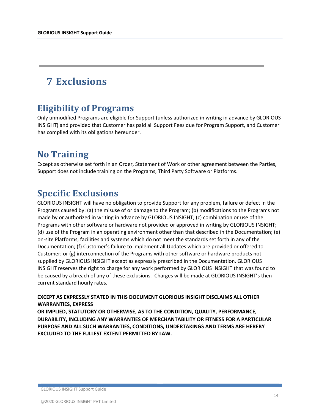# **7 Exclusions**

# **Eligibility of Programs**

Only unmodified Programs are eligible for Support (unless authorized in writing in advance by GLORIOUS INSIGHT) and provided that Customer has paid all Support Fees due for Program Support, and Customer has complied with its obligations hereunder.

# **No Training**

Except as otherwise set forth in an Order, Statement of Work or other agreement between the Parties, Support does not include training on the Programs, Third Party Software or Platforms.

# **Specific Exclusions**

GLORIOUS INSIGHT will have no obligation to provide Support for any problem, failure or defect in the Programs caused by: (a) the misuse of or damage to the Program; (b) modifications to the Programs not made by or authorized in writing in advance by GLORIOUS INSIGHT; (c) combination or use of the Programs with other software or hardware not provided or approved in writing by GLORIOUS INSIGHT; (d) use of the Program in an operating environment other than that described in the Documentation; (e) on-site Platforms, facilities and systems which do not meet the standards set forth in any of the Documentation; (f) Customer's failure to implement all Updates which are provided or offered to Customer; or (g) interconnection of the Programs with other software or hardware products not supplied by GLORIOUS INSIGHT except as expressly prescribed in the Documentation. GLORIOUS INSIGHT reserves the right to charge for any work performed by GLORIOUS INSIGHT that was found to be caused by a breach of any of these exclusions. Charges will be made at GLORIOUS INSIGHT's thencurrent standard hourly rates.

**EXCEPT AS EXPRESSLY STATED IN THIS DOCUMENT GLORIOUS INSIGHT DISCLAIMS ALL OTHER WARRANTIES, EXPRESS** 

**OR IMPLIED, STATUTORY OR OTHERWISE, AS TO THE CONDITION, QUALITY, PERFORMANCE, DURABILITY, INCLUDING ANY WARRANTIES OF MERCHANTABILITY OR FITNESS FOR A PARTICULAR PURPOSE AND ALL SUCH WARRANTIES, CONDITIONS, UNDERTAKINGS AND TERMS ARE HEREBY EXCLUDED TO THE FULLEST EXTENT PERMITTED BY LAW.**